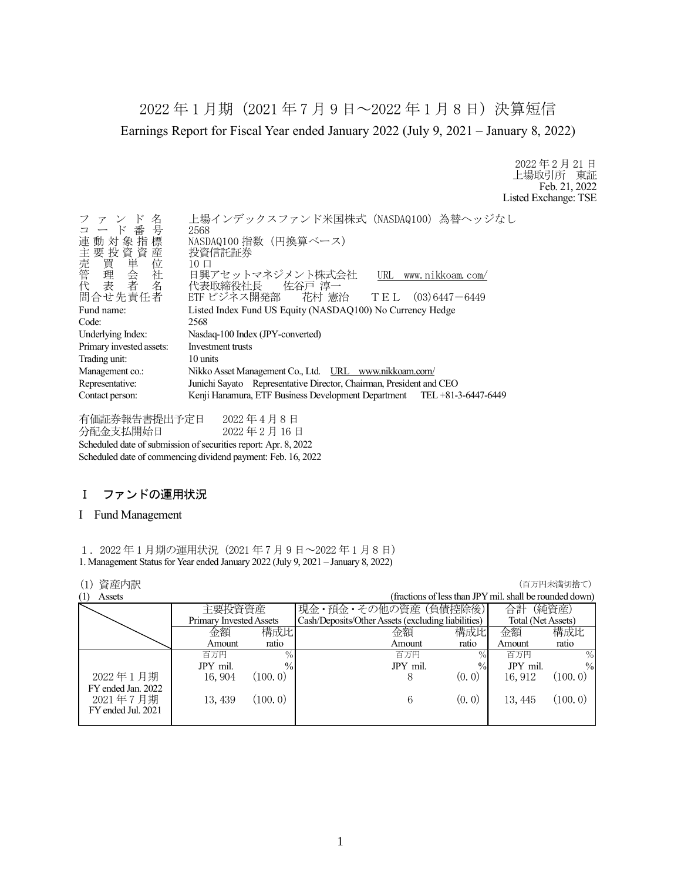2022 年 1 月期(2021 年 7 月 9 日~2022 年 1 月 8 日)決算短信 Earnings Report for Fiscal Year ended January 2022 (July 9, 2021 – January 8, 2022)

> 2022 年 2 月 21 日 上場取引所 東証 Feb. 21, 2022 Listed Exchange: TSE

| ファンド名<br>コード番号<br>$\mathbb{F}$<br>連動対象指標<br>主要投資資産 | 上場インデックスファンド米国株式 (NASDAQ100) 為替ヘッジなし<br>2568<br>NASDAQ100 指数 (円換算ベース)<br>投資信託証券                                |
|----------------------------------------------------|----------------------------------------------------------------------------------------------------------------|
| 問合せ先責任者                                            | $10 \Box$<br>日興アセットマネジメント株式会社<br>URL www.nikkoam.com/<br>代表取締役社長 佐谷戸 淳一<br>ETF ビジネス開発部 花村 憲治 TEL (03)6447-6449 |
| Fund name:                                         | Listed Index Fund US Equity (NASDAQ100) No Currency Hedge                                                      |
| Code:                                              | 2568                                                                                                           |
| Underlying Index:                                  | Nasdaq-100 Index (JPY-converted)                                                                               |
| Primary invested assets:                           | Investment trusts                                                                                              |
| Trading unit:                                      | 10 units                                                                                                       |
| Management co.:                                    | Nikko Asset Management Co., Ltd. URL www.nikkoam.com/                                                          |
| Representative:                                    | Junichi Sayato Representative Director, Chairman, President and CEO                                            |
| Contact person:                                    | Kenji Hanamura, ETF Business Development Department TEL +81-3-6447-6449                                        |

有価証券報告書提出予定日 2022 年 4 月 8 日 分配金支払開始日 2022 年 2 月 16 日 Scheduled date of submission of securities report: Apr. 8, 2022 Scheduled date of commencing dividend payment: Feb. 16, 2022

## Ⅰ ファンドの運用状況

#### I Fund Management

1.2022 年 1 月期の運用状況(2021 年 7 月 9 日~2022 年 1 月 8 日) 1. Management Status for Year ended January 2022 (July 9, 2021 – January 8, 2022)

| 資産内訳<br>(1)        |                         |               |                                                    |                                                         |                    | (百万円未満切捨て)    |
|--------------------|-------------------------|---------------|----------------------------------------------------|---------------------------------------------------------|--------------------|---------------|
| (1)<br>Assets      |                         |               |                                                    | (fractions of less than JPY mil. shall be rounded down) |                    |               |
|                    | 主要投資資産                  |               | 現金・預金・その他の資産 (負債控除後)                               |                                                         | 合計                 | (純資産)         |
|                    | Primary Invested Assets |               | Cash/Deposits/Other Assets (excluding liabilities) |                                                         | Total (Net Assets) |               |
|                    | 金額                      | 構成比           | 金額                                                 | 構成比                                                     | 金額                 | 構成比           |
|                    | Amount                  | ratio         | Amount                                             | ratio                                                   | Amount             | ratio         |
|                    | 百万円                     | $\%$          | 百万円                                                | $\%$                                                    | 百万円                | $\%$          |
|                    | JPY mil.                | $\frac{0}{0}$ | JPY mil.                                           | $\%$                                                    | JPY mil.           | $\frac{0}{0}$ |
| 2022年1月期           | 16, 904                 | (100.0)       | 8                                                  | (0, 0)                                                  | 16, 912            | (100, 0)      |
| FY ended Jan. 2022 |                         |               |                                                    |                                                         |                    |               |
| 2021年7月期           | 13, 439                 | (100.0)       | 6                                                  | (0, 0)                                                  | 13, 445            | (100.0)       |
| FY ended Jul. 2021 |                         |               |                                                    |                                                         |                    |               |
|                    |                         |               |                                                    |                                                         |                    |               |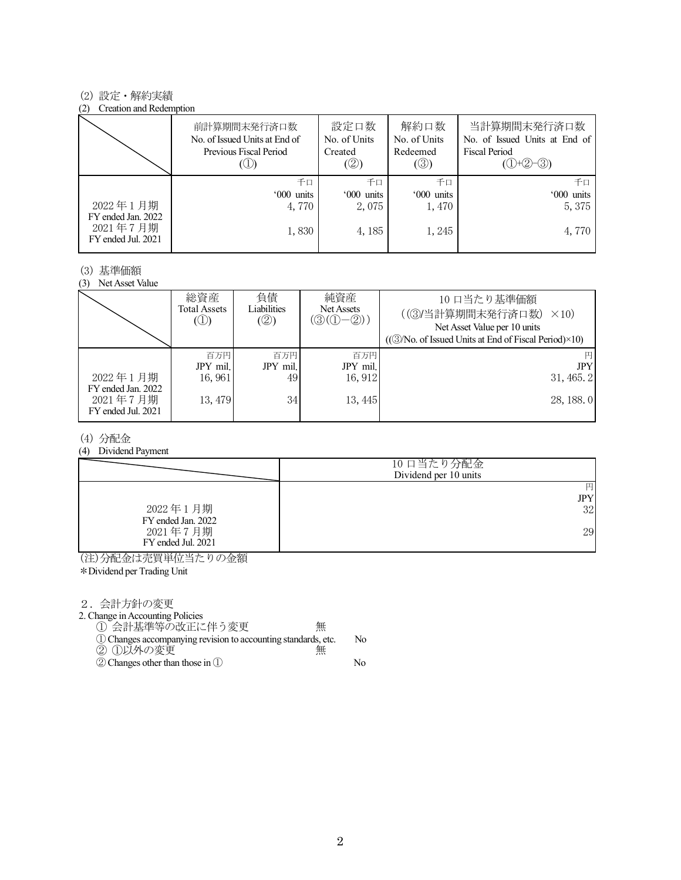#### (2) 設定・解約実績

#### (2) Creation and Redemption

|                                | 前計算期間末発行済口数<br>No. of Issued Units at End of<br>Previous Fiscal Period<br>(U) | 設定口数<br>No. of Units<br>Created<br>(②) | 解約口数<br>No. of Units<br>Redeemed<br>$\circledS$ | 当計算期間末発行済口数<br>No. of Issued Units at End of<br><b>Fiscal Period</b><br>$(①+②-③)$ |
|--------------------------------|-------------------------------------------------------------------------------|----------------------------------------|-------------------------------------------------|-----------------------------------------------------------------------------------|
| 2022年1月期<br>FY ended Jan. 2022 | 千口<br>'000 units<br>4,770                                                     | 千口<br>'000 units<br>2,075              | 千口<br>'000 units<br>1,470                       | 千日<br>'000 units<br>5,375                                                         |
| 2021年7月期<br>FY ended Jul. 2021 | 1,830                                                                         | 4, 185                                 | 1,245                                           | 4,770                                                                             |

### (3) 基準価額

(3) Net Asset Value

|                    | 総資産<br><b>Total Assets</b><br>$\circledcirc$ | 負債<br>Liabilities<br>(2) | 純資産<br>Net Assets<br>$(\mathcal{D}(\mathbb{O}-\mathbb{Q}))$ | 10 口当たり基準価額<br>((3)当計算期間末発行済口数)<br>$\times$ 10)<br>Net Asset Value per 10 units<br>((3/No. of Issued Units at End of Fiscal Period)×10) |
|--------------------|----------------------------------------------|--------------------------|-------------------------------------------------------------|-----------------------------------------------------------------------------------------------------------------------------------------|
| 2022年1月期           | 百万円                                          | 百万円                      | 百万円                                                         | 円                                                                                                                                       |
| FY ended Jan. 2022 | JPY mil.                                     | JPY mil.                 | JPY mil.                                                    | <b>JPY</b>                                                                                                                              |
| 2021年7月期           | 16,961                                       | 49                       | 16, 912                                                     | 31,465.2                                                                                                                                |
| FY ended Jul. 2021 | 13, 479                                      | 34                       | 13, 445                                                     | 28, 188.0                                                                                                                               |

#### (4) 分配金

(4) Dividend Payment

|                                | 10 口当たり分配金<br>Dividend per 10 units |
|--------------------------------|-------------------------------------|
|                                | 円<br>JPY                            |
| 2022年1月期<br>FY ended Jan. 2022 | 32                                  |
| 2021年7月期<br>FY ended Jul. 2021 | 29                                  |

(注)分配金は売買単位当たりの金額

\*Dividend per Trading Unit

2.会計方針の変更

2. Change in Accounting Policies

| ① 会計基準等の改正に伴う変更<br>俪<br>$\overline{\cdots}$                     |     |
|-----------------------------------------------------------------|-----|
| (1) Changes accompanying revision to accounting standards, etc. | No. |
| ② ①以外の変更<br>無                                                   |     |
| $(2)$ Changes other than those in $(1)$                         | No. |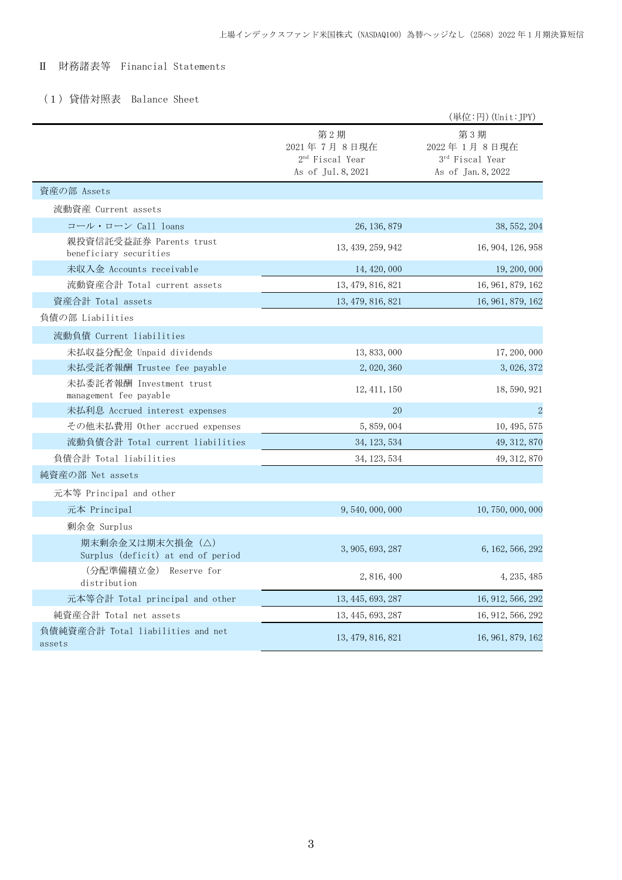## Ⅱ 財務諸表等 Financial Statements

### (1)貸借対照表 Balance Sheet

|                                                       |                                                                         | (単位:円) (Unit:JPY)                                                       |
|-------------------------------------------------------|-------------------------------------------------------------------------|-------------------------------------------------------------------------|
|                                                       | 第2期<br>2021年7月8日現在<br>2 <sup>nd</sup> Fiscal Year<br>As of Jul. 8, 2021 | 第3期<br>2022年1月8日現在<br>3 <sup>rd</sup> Fiscal Year<br>As of Jan. 8, 2022 |
| 資産の部 Assets                                           |                                                                         |                                                                         |
| 流動資産 Current assets                                   |                                                                         |                                                                         |
| コール・ローン Call loans                                    | 26, 136, 879                                                            | 38, 552, 204                                                            |
| 親投資信託受益証券 Parents trust<br>beneficiary securities     | 13, 439, 259, 942                                                       | 16, 904, 126, 958                                                       |
| 未収入金 Accounts receivable                              | 14, 420, 000                                                            | 19, 200, 000                                                            |
| 流動資産合計 Total current assets                           | 13, 479, 816, 821                                                       | 16, 961, 879, 162                                                       |
| 資産合計 Total assets                                     | 13, 479, 816, 821                                                       | 16, 961, 879, 162                                                       |
| 負債の部 Liabilities                                      |                                                                         |                                                                         |
| 流動負債 Current liabilities                              |                                                                         |                                                                         |
| 未払収益分配金 Unpaid dividends                              | 13, 833, 000                                                            | 17, 200, 000                                                            |
| 未払受託者報酬 Trustee fee payable                           | 2,020,360                                                               | 3, 026, 372                                                             |
| 未払委託者報酬 Investment trust<br>management fee payable    | 12, 411, 150                                                            | 18, 590, 921                                                            |
| 未払利息 Accrued interest expenses                        | 20                                                                      | $\overline{2}$                                                          |
| その他未払費用 Other accrued expenses                        | 5,859,004                                                               | 10, 495, 575                                                            |
| 流動負債合計 Total current liabilities                      | 34, 123, 534                                                            | 49, 312, 870                                                            |
| 負債合計 Total liabilities                                | 34, 123, 534                                                            | 49, 312, 870                                                            |
| 純資産の部 Net assets                                      |                                                                         |                                                                         |
| 元本等 Principal and other                               |                                                                         |                                                                         |
| 元本 Principal                                          | 9,540,000,000                                                           | 10, 750, 000, 000                                                       |
| 剰余金 Surplus                                           |                                                                         |                                                                         |
| 期末剰余金又は期末欠損金(△)<br>Surplus (deficit) at end of period | 3, 905, 693, 287                                                        | 6, 162, 566, 292                                                        |
| (分配準備積立金) Reserve for<br>distribution                 | 2, 816, 400                                                             | 4, 235, 485                                                             |
| 元本等合計 Total principal and other                       | 13, 445, 693, 287                                                       | 16, 912, 566, 292                                                       |
| 純資産合計 Total net assets                                | 13, 445, 693, 287                                                       | 16, 912, 566, 292                                                       |
| 負債純資産合計 Total liabilities and net<br>assets           | 13, 479, 816, 821                                                       | 16, 961, 879, 162                                                       |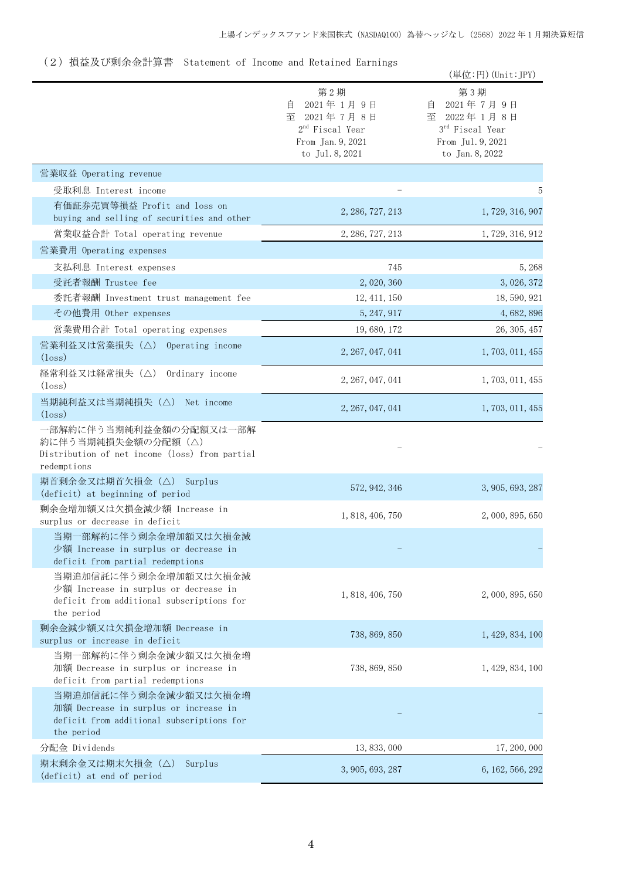# (2)損益及び剰余金計算書 Statement of Income and Retained Earnings

|                                                                                                                           |                                                                                                   | (単位:円) (Unit: JPY)                                                                              |
|---------------------------------------------------------------------------------------------------------------------------|---------------------------------------------------------------------------------------------------|-------------------------------------------------------------------------------------------------|
|                                                                                                                           | 第2期<br>2021年1月9日<br>自<br>至 2021年7月8日<br>$2nd$ Fiscal Year<br>From Jan. 9, 2021<br>to Jul. 8, 2021 | 第3期<br>2021年7月9日<br>自<br>至 2022年1月8日<br>3rd Fiscal Year<br>From Jul. 9, 2021<br>to Jan. 8, 2022 |
| 営業収益 Operating revenue                                                                                                    |                                                                                                   |                                                                                                 |
| 受取利息 Interest income                                                                                                      |                                                                                                   | 5                                                                                               |
| 有価証券売買等損益 Profit and loss on<br>buying and selling of securities and other                                                | 2, 286, 727, 213                                                                                  | 1, 729, 316, 907                                                                                |
| 営業収益合計 Total operating revenue                                                                                            | 2, 286, 727, 213                                                                                  | 1, 729, 316, 912                                                                                |
| 営業費用 Operating expenses                                                                                                   |                                                                                                   |                                                                                                 |
| 支払利息 Interest expenses                                                                                                    | 745                                                                                               | 5,268                                                                                           |
| 受託者報酬 Trustee fee                                                                                                         | 2, 020, 360                                                                                       | 3, 026, 372                                                                                     |
| 委託者報酬 Investment trust management fee                                                                                     | 12, 411, 150                                                                                      | 18, 590, 921                                                                                    |
| その他費用 Other expenses                                                                                                      | 5, 247, 917                                                                                       | 4,682,896                                                                                       |
| 営業費用合計 Total operating expenses                                                                                           | 19, 680, 172                                                                                      | 26, 305, 457                                                                                    |
| 営業利益又は営業損失 (△) Operating income<br>$(\text{loss})$                                                                        | 2, 267, 047, 041                                                                                  | 1, 703, 011, 455                                                                                |
| 経常利益又は経常損失(△)<br>Ordinary income<br>(loss)                                                                                | 2, 267, 047, 041                                                                                  | 1, 703, 011, 455                                                                                |
| 当期純利益又は当期純損失 (△) Net income<br>$(\text{loss})$                                                                            | 2, 267, 047, 041                                                                                  | 1, 703, 011, 455                                                                                |
| 一部解約に伴う当期純利益金額の分配額又は一部解<br>約に伴う当期純損失金額の分配額(△)<br>Distribution of net income (loss) from partial<br>redemptions            |                                                                                                   |                                                                                                 |
| 期首剰余金又は期首欠損金 (△) Surplus<br>(deficit) at beginning of period                                                              | 572, 942, 346                                                                                     | 3, 905, 693, 287                                                                                |
| 剰余金増加額又は欠損金減少額 Increase in<br>surplus or decrease in deficit                                                              | 1, 818, 406, 750                                                                                  | 2,000,895,650                                                                                   |
| 当期一部解約に伴う剰余金増加額又は欠損金減<br>少額 Increase in surplus or decrease in<br>deficit from partial redemptions                        |                                                                                                   |                                                                                                 |
| 当期追加信託に伴う剰余金増加額又は欠損金減<br>少額 Increase in surplus or decrease in<br>deficit from additional subscriptions for<br>the period | 1, 818, 406, 750                                                                                  | 2,000,895,650                                                                                   |
| 剰余金減少額又は欠損金増加額 Decrease in<br>surplus or increase in deficit                                                              | 738, 869, 850                                                                                     | 1, 429, 834, 100                                                                                |
| 当期一部解約に伴う剰余金減少額又は欠損金増<br>加額 Decrease in surplus or increase in<br>deficit from partial redemptions                        | 738, 869, 850                                                                                     | 1, 429, 834, 100                                                                                |
| 当期追加信託に伴う剰余金減少額又は欠損金増<br>加額 Decrease in surplus or increase in<br>deficit from additional subscriptions for<br>the period |                                                                                                   |                                                                                                 |
| 分配金 Dividends                                                                                                             | 13, 833, 000                                                                                      | 17, 200, 000                                                                                    |
| 期末剰余金又は期末欠損金(△)<br>Surplus<br>(deficit) at end of period                                                                  | 3, 905, 693, 287                                                                                  | 6, 162, 566, 292                                                                                |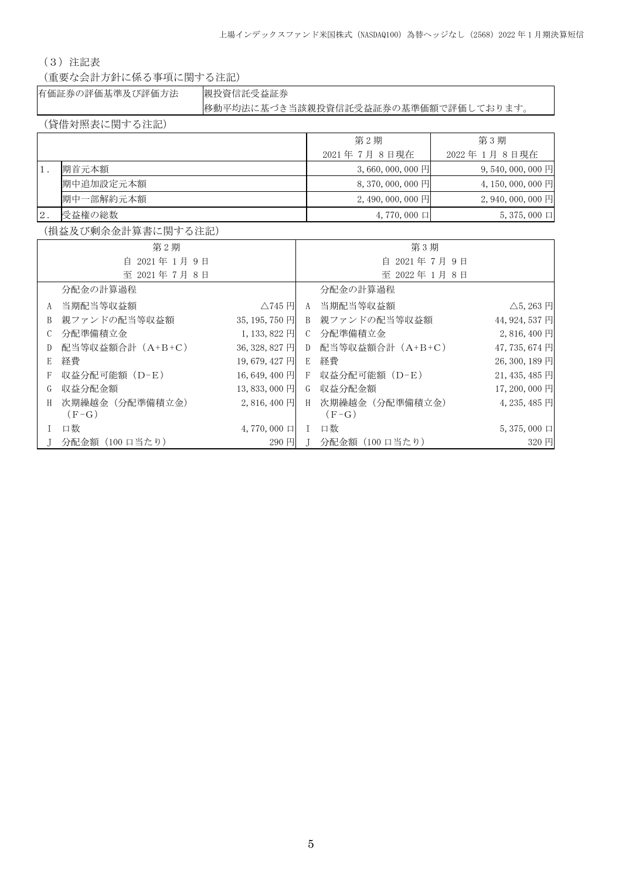(3)注記表

(重要な会計方針に係る事項に関する注記)

有価証券の評価基準及び評価方法 親投資信託受益証券

移動平均法に基づき当該親投資信託受益証券の基準価額で評価しております。

(貸借対照表に関する注記)

|       |           | 第2期                     | 第3期                             |
|-------|-----------|-------------------------|---------------------------------|
|       |           | 2021 年 7月 8日現在          | 2022 年 1月 8日現在                  |
|       | 期首元本額     | $3,660,000,000$ 円       | $9,540,000,000$ 円               |
|       | 期中追加設定元本額 | 8, 370, 000, 000 $\Box$ | 4, 150, 000, 000 $\overline{H}$ |
|       | 期中一部解約元本額 | $2,490,000,000$ 円       | $2,940,000,000$ 円               |
| $2$ . | 受益権の総数    | $4,770,000$ $\Box$      | $5,375,000 \square$             |

(損益及び剰余金計算書に関する注記)

| 第2期         |                  |                    |               | 第3期                |                           |
|-------------|------------------|--------------------|---------------|--------------------|---------------------------|
| 自 2021年1月9日 |                  | 自 2021年7月9日        |               |                    |                           |
|             | 至 2021年7月8日      |                    |               | 至 2022年1月8日        |                           |
|             | 分配金の計算過程         |                    |               | 分配金の計算過程           |                           |
| A           | 当期配当等収益額         | $\triangle$ 745日   | A             | 当期配当等収益額           | $\triangle$ 5, 263 $\Box$ |
| B           | 親ファンドの配当等収益額     | $35, 195, 750$ 円   | B.            | 親ファンドの配当等収益額       | 44, 924, 537 円            |
| C           | 分配準備積立金          | 1, 133, 822 円      | $\mathcal{C}$ | 分配準備積立金            | 2,816,400円                |
| D           | 配当等収益額合計 (A+B+C) | 36, 328, 827 円     |               | D 配当等収益額合計 (A+B+C) | 47, 735, 674 円            |
| E           | 経費               | 19,679,427 円       | E             | 経費                 | 26, 300, 189 円            |
| F           | 収益分配可能額 (D-E)    | 16,649,400 円       |               | F 収益分配可能額 (D-E)    | $21,435,485$ 円            |
| G           | 収益分配金額           | 13,833,000 円       | G             | 収益分配金額             | 17,200,000 円              |
| H           | 次期繰越金(分配準備積立金)   | $2,816,400$ 円      | H             | 次期繰越金(分配準備積立金)     | $4,235,485$ 円             |
|             | $(F-G)$          |                    |               | $(F-G)$            |                           |
|             | 口数               | $4,770,000$ $\Box$ | L             | 口数                 | $5,375,000 \square$       |
|             | 分配金額(100 口当たり)   | 290 円              |               | J 分配金額 (100 口当たり)  | 320 円                     |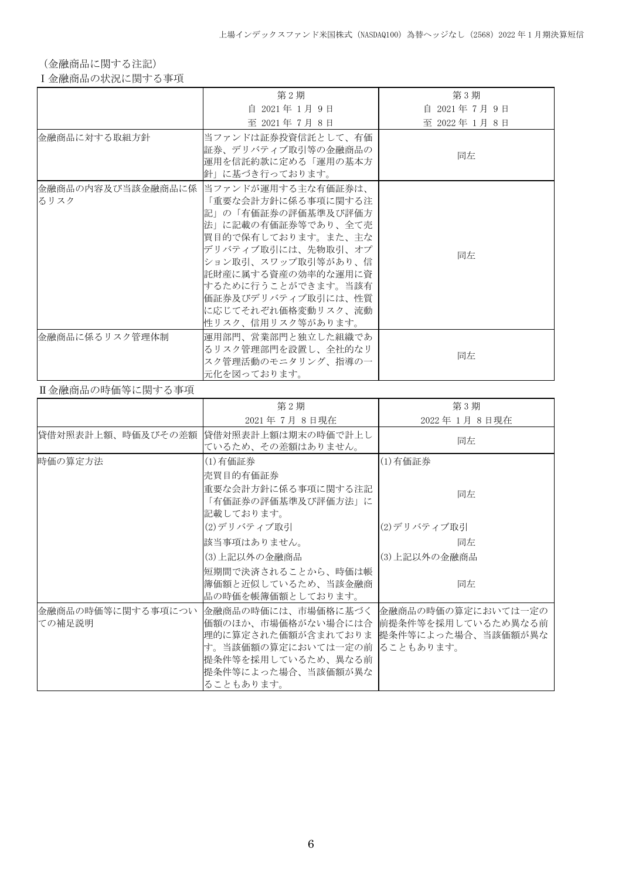(金融商品に関する注記)

Ⅰ金融商品の状況に関する事項

|                | 第2期                                                                                                                                                                                                                                                                                      | 第3期           |
|----------------|------------------------------------------------------------------------------------------------------------------------------------------------------------------------------------------------------------------------------------------------------------------------------------------|---------------|
|                | 自 2021年 1月 9日                                                                                                                                                                                                                                                                            | 自 2021年7月9日   |
|                | 至 2021年 7月 8日                                                                                                                                                                                                                                                                            | 至 2022年 1月 8日 |
| 金融商品に対する取組方針   | 当ファンドは証券投資信託として、有価 <br>証券、デリバティブ取引等の金融商品の<br>運用を信託約款に定める「運用の基本方<br>針」に基づき行っております。                                                                                                                                                                                                        | 同左            |
| るリスク           | 金融商品の内容及び当該金融商品に係 当ファンドが運用する主な有価証券は、<br>「重要な会計方針に係る事項に関する注<br> 記」の「有価証券の評価基準及び評価方 <br>法」に記載の有価証券等であり、全て売<br> 買目的で保有しております。また、主な<br>デリバティブ取引には、先物取引、オプ<br>ション取引、スワップ取引等があり、信<br>託財産に属する資産の効率的な運用に資<br>するために行うことができます。当該有<br>価証券及びデリバティブ取引には、性質<br>に応じてそれぞれ価格変動リスク、流動<br>性リスク、信用リスク等があります。 | 同左            |
| 金融商品に係るリスク管理体制 | 運用部門、営業部門と独立した組織であ<br>るリスク管理部門を設置し、全社的なリ<br>スク管理活動のモニタリング、指導の一<br>元化を図っております。                                                                                                                                                                                                            | 同左            |

#### Ⅱ金融商品の時価等に関する事項

|                             | 第2期                                                                                                                                                                                                                 | 第3期          |
|-----------------------------|---------------------------------------------------------------------------------------------------------------------------------------------------------------------------------------------------------------------|--------------|
|                             | 2021年7月8日現在                                                                                                                                                                                                         | 2022年1月8日現在  |
| 貸借対照表計上額、時価及びその差額           | 貸借対照表計上額は期末の時価で計上し<br>ているため、その差額はありません。                                                                                                                                                                             | 同左           |
| 時価の算定方法                     | (1)有価証券                                                                                                                                                                                                             | (1)有価証券      |
|                             | 売買目的有価証券                                                                                                                                                                                                            |              |
|                             | 重要な会計方針に係る事項に関する注記<br>「有価証券の評価基準及び評価方法」に<br>記載しております。                                                                                                                                                               | 同左           |
|                             | (2)デリバティブ取引                                                                                                                                                                                                         | (2)デリバティブ取引  |
|                             | 該当事項はありません。                                                                                                                                                                                                         | 同左           |
|                             | (3)上記以外の金融商品                                                                                                                                                                                                        | (3)上記以外の金融商品 |
|                             | 短期間で決済されることから、時価は帳<br>簿価額と近似しているため、当該金融商<br>品の時価を帳簿価額としております。                                                                                                                                                       | 同左           |
| 金融商品の時価等に関する事項につい<br>ての補足説明 | 金融商品の時価には、市場価格に基づく   金融商品の時価の算定においては一定の<br>価額のほか、市場価格がない場合には合  前提条件等を採用しているため異なる前<br>理的に算定された価額が含まれておりま 提条件等によった場合、当該価額が異な<br>す。当該価額の算定においては一定の前 ることもあります。<br>提条件等を採用しているため、異なる前<br>提条件等によった場合、当該価額が異な<br>ることもあります。 |              |